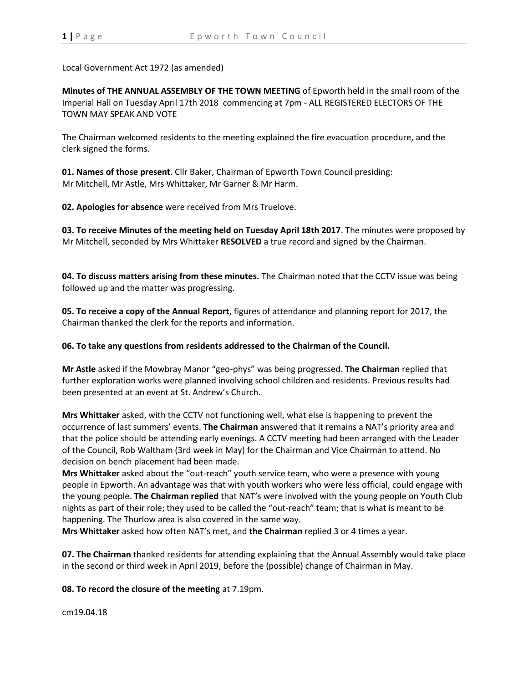Local Government Act 1972 (as amended)

**Minutes of THE ANNUAL ASSEMBLY OF THE TOWN MEETING** of Epworth held in the small room of the Imperial Hall on Tuesday April 17th 2018 commencing at 7pm - ALL REGISTERED ELECTORS OF THE TOWN MAY SPEAK AND VOTE

The Chairman welcomed residents to the meeting explained the fire evacuation procedure, and the clerk signed the forms.

**01. Names of those present**. Cllr Baker, Chairman of Epworth Town Council presiding: Mr Mitchell, Mr Astle, Mrs Whittaker, Mr Garner & Mr Harm.

**02. Apologies for absence** were received from Mrs Truelove.

**03. To receive Minutes of the meeting held on Tuesday April 18th 2017**. The minutes were proposed by Mr Mitchell, seconded by Mrs Whittaker **RESOLVED** a true record and signed by the Chairman.

**04. To discuss matters arising from these minutes.** The Chairman noted that the CCTV issue was being followed up and the matter was progressing.

**05. To receive a copy of the Annual Report**, figures of attendance and planning report for 2017, the Chairman thanked the clerk for the reports and information.

**06. To take any questions from residents addressed to the Chairman of the Council.**

**Mr Astle** asked if the Mowbray Manor "geo-phys" was being progressed. **The Chairman** replied that further exploration works were planned involving school children and residents. Previous results had been presented at an event at St. Andrew's Church.

**Mrs Whittaker** asked, with the CCTV not functioning well, what else is happening to prevent the occurrence of last summers' events. **The Chairman** answered that it remains a NAT's priority area and that the police should be attending early evenings. A CCTV meeting had been arranged with the Leader of the Council, Rob Waltham (3rd week in May) for the Chairman and Vice Chairman to attend. No decision on bench placement had been made.

**Mrs Whittaker** asked about the "out-reach" youth service team, who were a presence with young people in Epworth. An advantage was that with youth workers who were less official, could engage with the young people. **The Chairman replied** that NAT's were involved with the young people on Youth Club nights as part of their role; they used to be called the "out-reach" team; that is what is meant to be happening. The Thurlow area is also covered in the same way.

**Mrs Whittaker** asked how often NAT's met, and **the Chairman** replied 3 or 4 times a year.

**07. The Chairman** thanked residents for attending explaining that the Annual Assembly would take place in the second or third week in April 2019, before the (possible) change of Chairman in May.

**08. To record the closure of the meeting** at 7.19pm.

cm19.04.18